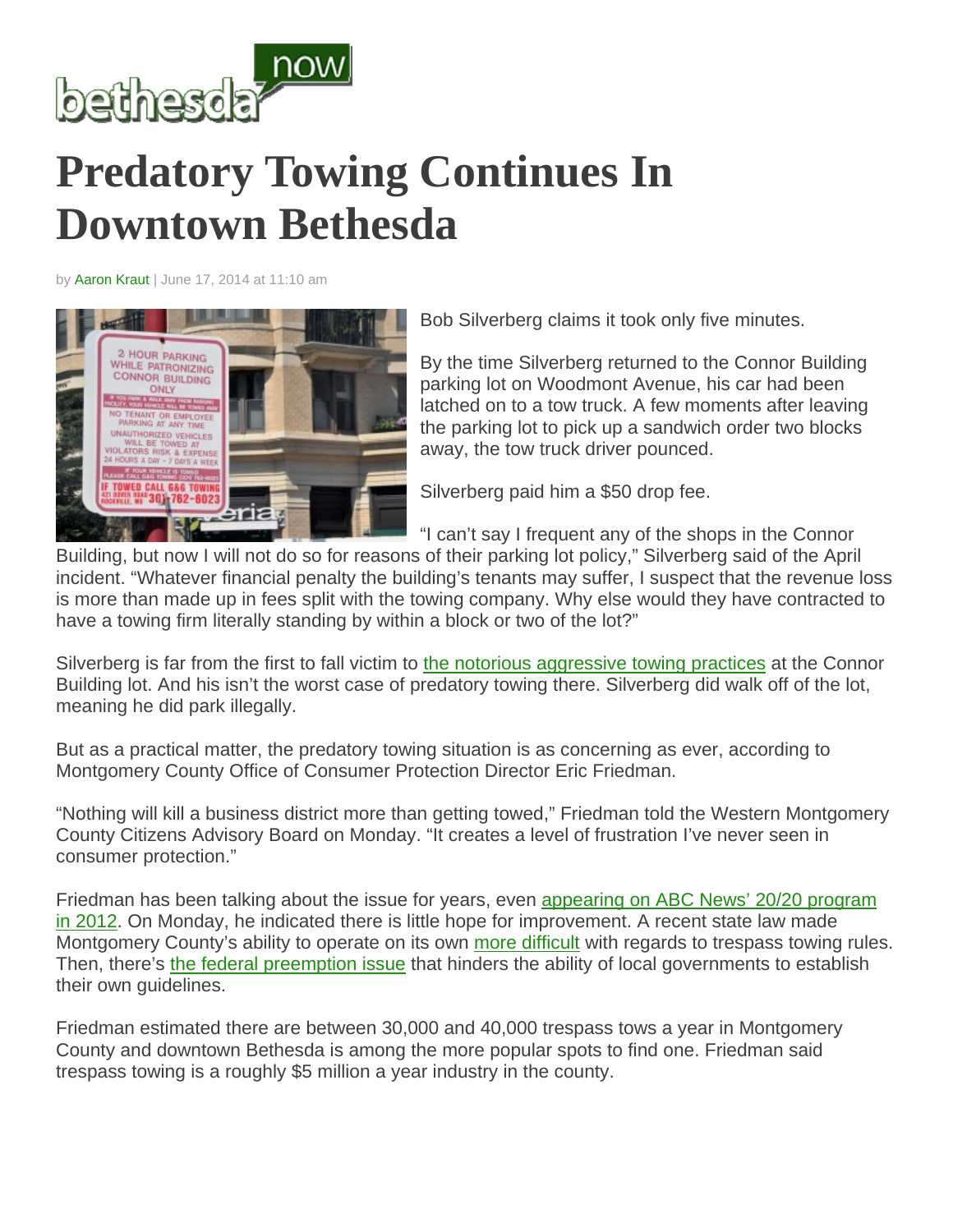

## **Predatory Towing Continues In Downtown Bethesda**

by Aaron Kraut | June 17, 2014 at 11:10 am



Bob Silverberg claims it took only five minutes.

By the time Silverberg returned to the Connor Building parking lot on Woodmont Avenue, his car had been latched on to a tow truck. A few moments after leaving the parking lot to pick up a sandwich order two blocks away, the tow truck driver pounced.

Silverberg paid him a \$50 drop fee.

"I can't say I frequent any of the shops in the Connor

Building, but now I will not do so for reasons of their parking lot policy," Silverberg said of the April incident. "Whatever financial penalty the building's tenants may suffer, I suspect that the revenue loss is more than made up in fees split with the towing company. Why else would they have contracted to have a towing firm literally standing by within a block or two of the lot?"

Silverberg is far from the first to fall victim to the notorious aggressive towing practices at the Connor Building lot. And his isn't the worst case of predatory towing there. Silverberg did walk off of the lot, meaning he did park illegally.

But as a practical matter, the predatory towing situation is as concerning as ever, according to Montgomery County Office of Consumer Protection Director Eric Friedman.

"Nothing will kill a business district more than getting towed," Friedman told the Western Montgomery County Citizens Advisory Board on Monday. "It creates a level of frustration I've never seen in consumer protection."

Friedman has been talking about the issue for years, even appearing on ABC News' 20/20 program in 2012. On Monday, he indicated there is little hope for improvement. A recent state law made Montgomery County's ability to operate on its own more difficult with regards to trespass towing rules. Then, there's the federal preemption issue that hinders the ability of local governments to establish their own guidelines.

Friedman estimated there are between 30,000 and 40,000 trespass tows a year in Montgomery County and downtown Bethesda is among the more popular spots to find one. Friedman said trespass towing is a roughly \$5 million a year industry in the county.